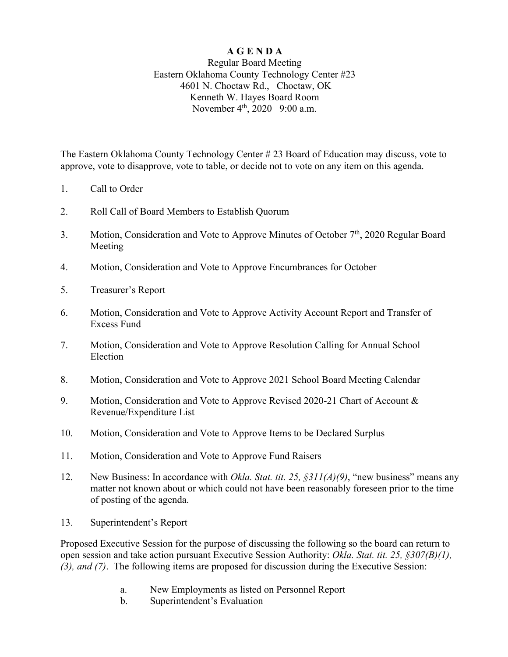# **A G E N D A**

### Regular Board Meeting Eastern Oklahoma County Technology Center #23 4601 N. Choctaw Rd., Choctaw, OK Kenneth W. Hayes Board Room November 4<sup>th</sup>, 2020 9:00 a.m.

The Eastern Oklahoma County Technology Center # 23 Board of Education may discuss, vote to approve, vote to disapprove, vote to table, or decide not to vote on any item on this agenda.

- 1. Call to Order
- 2. Roll Call of Board Members to Establish Quorum
- 3. Motion, Consideration and Vote to Approve Minutes of October 7<sup>th</sup>, 2020 Regular Board Meeting
- 4. Motion, Consideration and Vote to Approve Encumbrances for October
- 5. Treasurer's Report
- 6. Motion, Consideration and Vote to Approve Activity Account Report and Transfer of Excess Fund
- 7. Motion, Consideration and Vote to Approve Resolution Calling for Annual School Election
- 8. Motion, Consideration and Vote to Approve 2021 School Board Meeting Calendar
- 9. Motion, Consideration and Vote to Approve Revised 2020-21 Chart of Account & Revenue/Expenditure List
- 10. Motion, Consideration and Vote to Approve Items to be Declared Surplus
- 11. Motion, Consideration and Vote to Approve Fund Raisers
- 12. New Business: In accordance with *Okla. Stat. tit. 25, §311(A)(9)*, "new business" means any matter not known about or which could not have been reasonably foreseen prior to the time of posting of the agenda.
- 13. Superintendent's Report

Proposed Executive Session for the purpose of discussing the following so the board can return to open session and take action pursuant Executive Session Authority: *Okla. Stat. tit. 25, §307(B)(1), (3), and (7)*. The following items are proposed for discussion during the Executive Session:

- a. New Employments as listed on Personnel Report
- b. Superintendent's Evaluation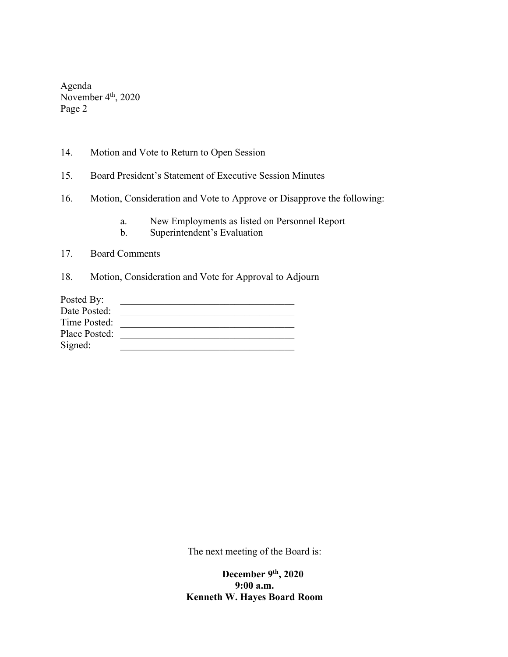Agenda November 4<sup>th</sup>, 2020 Page 2

- 14. Motion and Vote to Return to Open Session
- 15. Board President's Statement of Executive Session Minutes
- 16. Motion, Consideration and Vote to Approve or Disapprove the following:
	- a. New Employments as listed on Personnel Report
	- b. Superintendent's Evaluation
- 17. Board Comments
- 18. Motion, Consideration and Vote for Approval to Adjourn

| Posted By:    |  |
|---------------|--|
| Date Posted:  |  |
| Time Posted:  |  |
| Place Posted: |  |
| Signed:       |  |

The next meeting of the Board is:

 **December 9th, 2020 9:00 a.m. Kenneth W. Hayes Board Room**